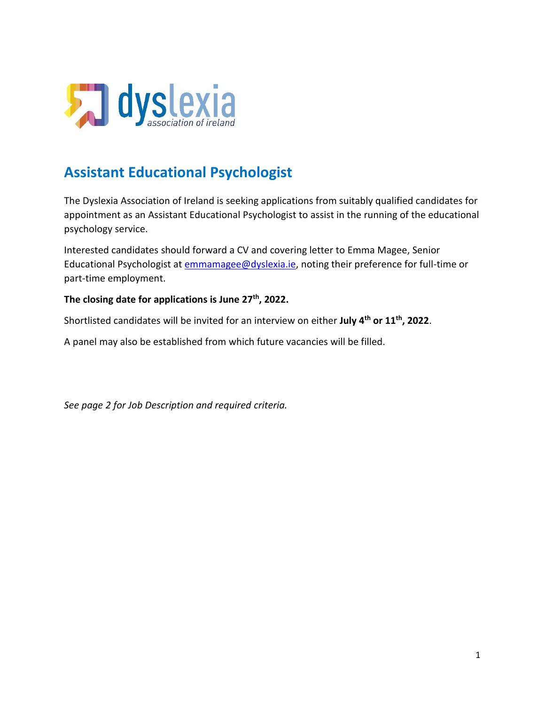

# **Assistant Educational Psychologist**

The Dyslexia Association of Ireland is seeking applications from suitably qualified candidates for appointment as an Assistant Educational Psychologist to assist in the running of the educational psychology service.

Interested candidates should forward a CV and covering letter to Emma Magee, Senior Educational Psychologist at [emmamagee@dyslexia.ie,](mailto:emmamagee@dyslexia.ie) noting their preference for full-time or part-time employment.

### **The closing date for applications is June 27th, 2022.**

Shortlisted candidates will be invited for an interview on either **July 4 th or 11th, 2022**.

A panel may also be established from which future vacancies will be filled.

*See page 2 for Job Description and required criteria.*